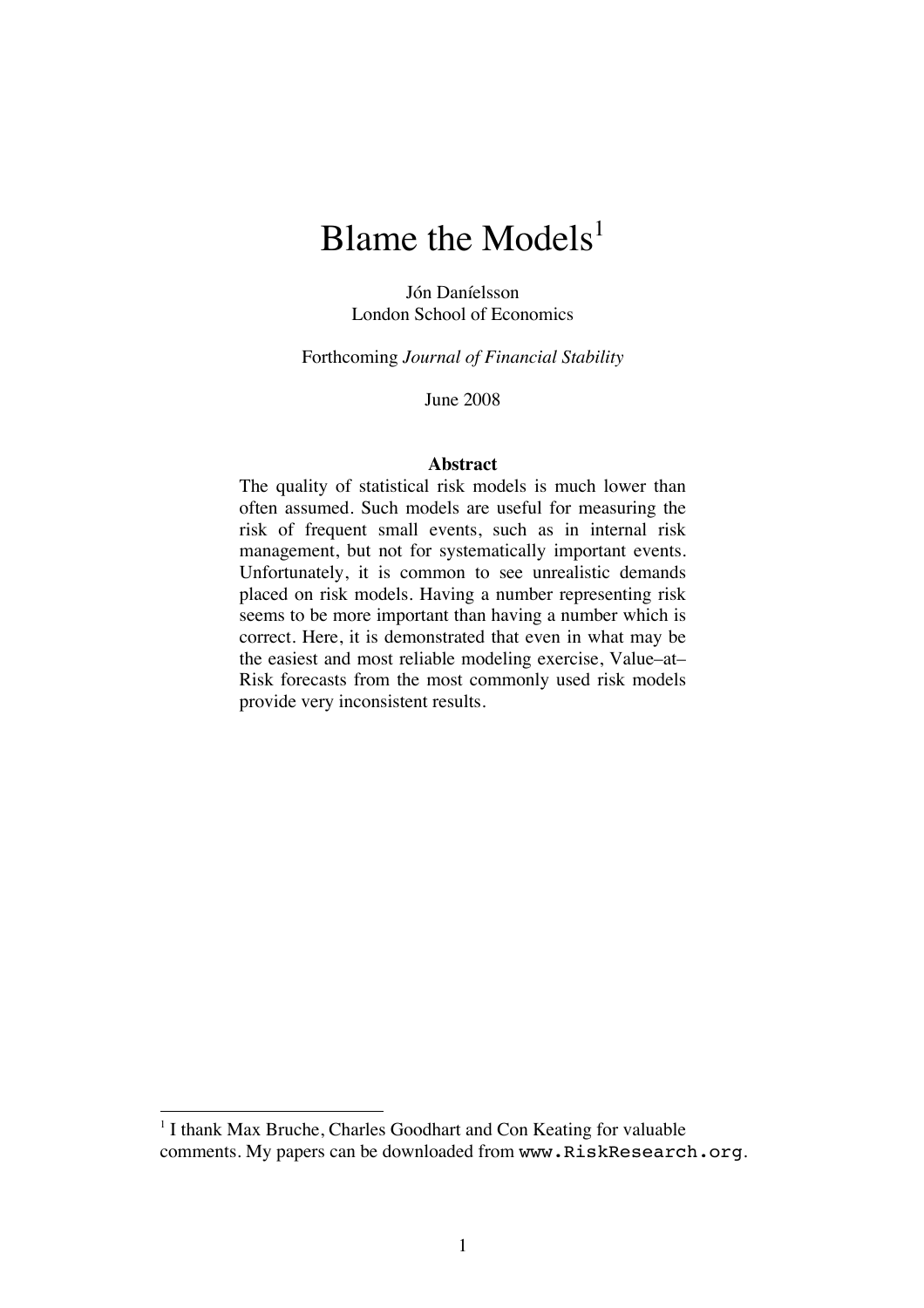# Blame the Models $<sup>1</sup>$ </sup>

Jón Daníelsson London School of Economics

Forthcoming *Journal of Financial Stability*

June 2008

#### **Abstract**

The quality of statistical risk models is much lower than often assumed. Such models are useful for measuring the risk of frequent small events, such as in internal risk management, but not for systematically important events. Unfortunately, it is common to see unrealistic demands placed on risk models. Having a number representing risk seems to be more important than having a number which is correct. Here, it is demonstrated that even in what may be the easiest and most reliable modeling exercise, Value–at– Risk forecasts from the most commonly used risk models provide very inconsistent results.

<sup>|&</sup>lt;br>|<br>| <sup>1</sup> I thank Max Bruche, Charles Goodhart and Con Keating for valuable comments. My papers can be downloaded from www.RiskResearch.org.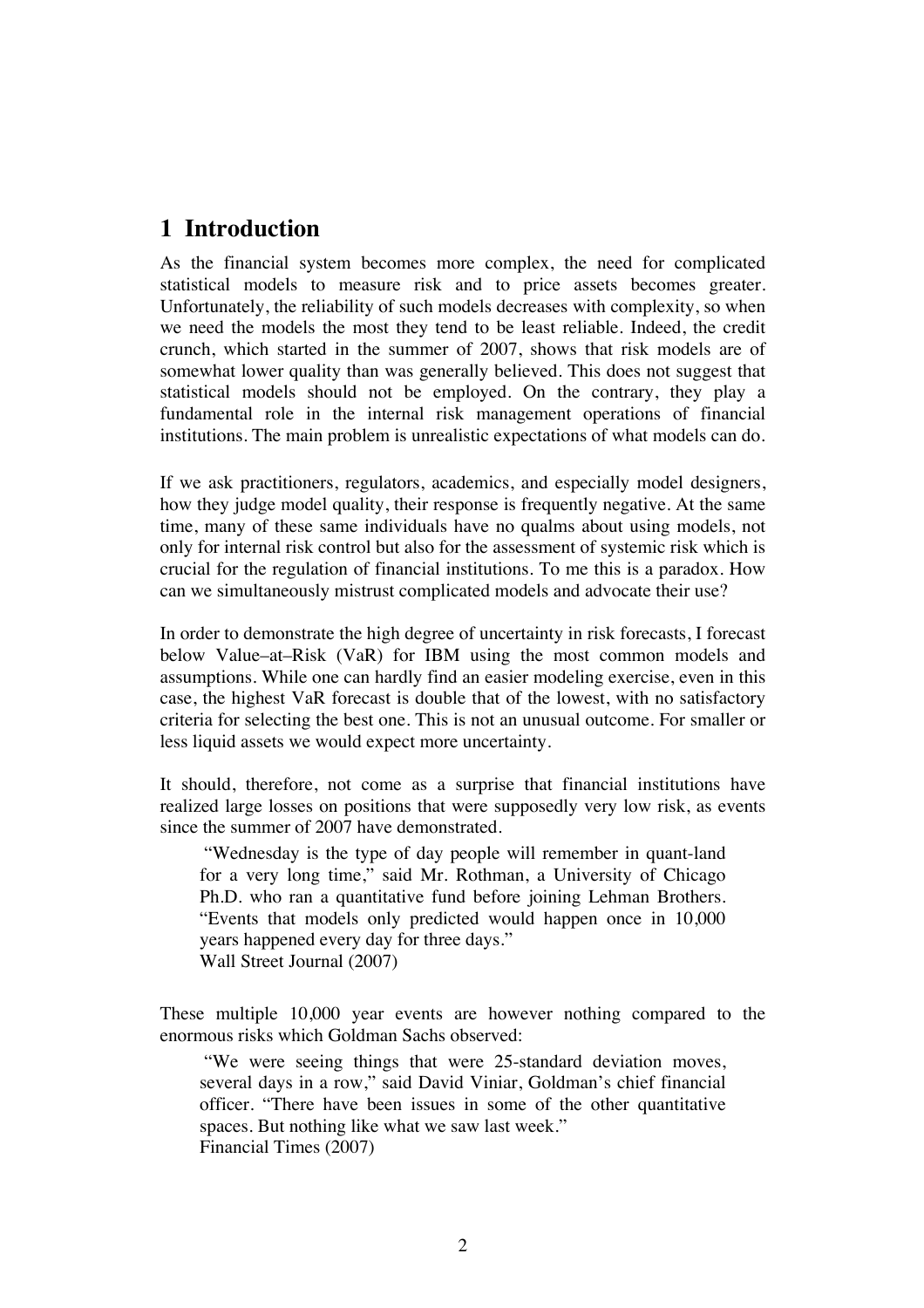#### **1 Introduction**

As the financial system becomes more complex, the need for complicated statistical models to measure risk and to price assets becomes greater. Unfortunately, the reliability of such models decreases with complexity, so when we need the models the most they tend to be least reliable. Indeed, the credit crunch, which started in the summer of 2007, shows that risk models are of somewhat lower quality than was generally believed. This does not suggest that statistical models should not be employed. On the contrary, they play a fundamental role in the internal risk management operations of financial institutions. The main problem is unrealistic expectations of what models can do.

If we ask practitioners, regulators, academics, and especially model designers, how they judge model quality, their response is frequently negative. At the same time, many of these same individuals have no qualms about using models, not only for internal risk control but also for the assessment of systemic risk which is crucial for the regulation of financial institutions. To me this is a paradox. How can we simultaneously mistrust complicated models and advocate their use?

In order to demonstrate the high degree of uncertainty in risk forecasts, I forecast below Value–at–Risk (VaR) for IBM using the most common models and assumptions. While one can hardly find an easier modeling exercise, even in this case, the highest VaR forecast is double that of the lowest, with no satisfactory criteria for selecting the best one. This is not an unusual outcome. For smaller or less liquid assets we would expect more uncertainty.

It should, therefore, not come as a surprise that financial institutions have realized large losses on positions that were supposedly very low risk, as events since the summer of 2007 have demonstrated.

 "Wednesday is the type of day people will remember in quant-land for a very long time," said Mr. Rothman, a University of Chicago Ph.D. who ran a quantitative fund before joining Lehman Brothers. "Events that models only predicted would happen once in 10,000 years happened every day for three days." Wall Street Journal (2007)

These multiple 10,000 year events are however nothing compared to the enormous risks which Goldman Sachs observed:

 "We were seeing things that were 25-standard deviation moves, several days in a row," said David Viniar, Goldman's chief financial officer. "There have been issues in some of the other quantitative spaces. But nothing like what we saw last week." Financial Times (2007)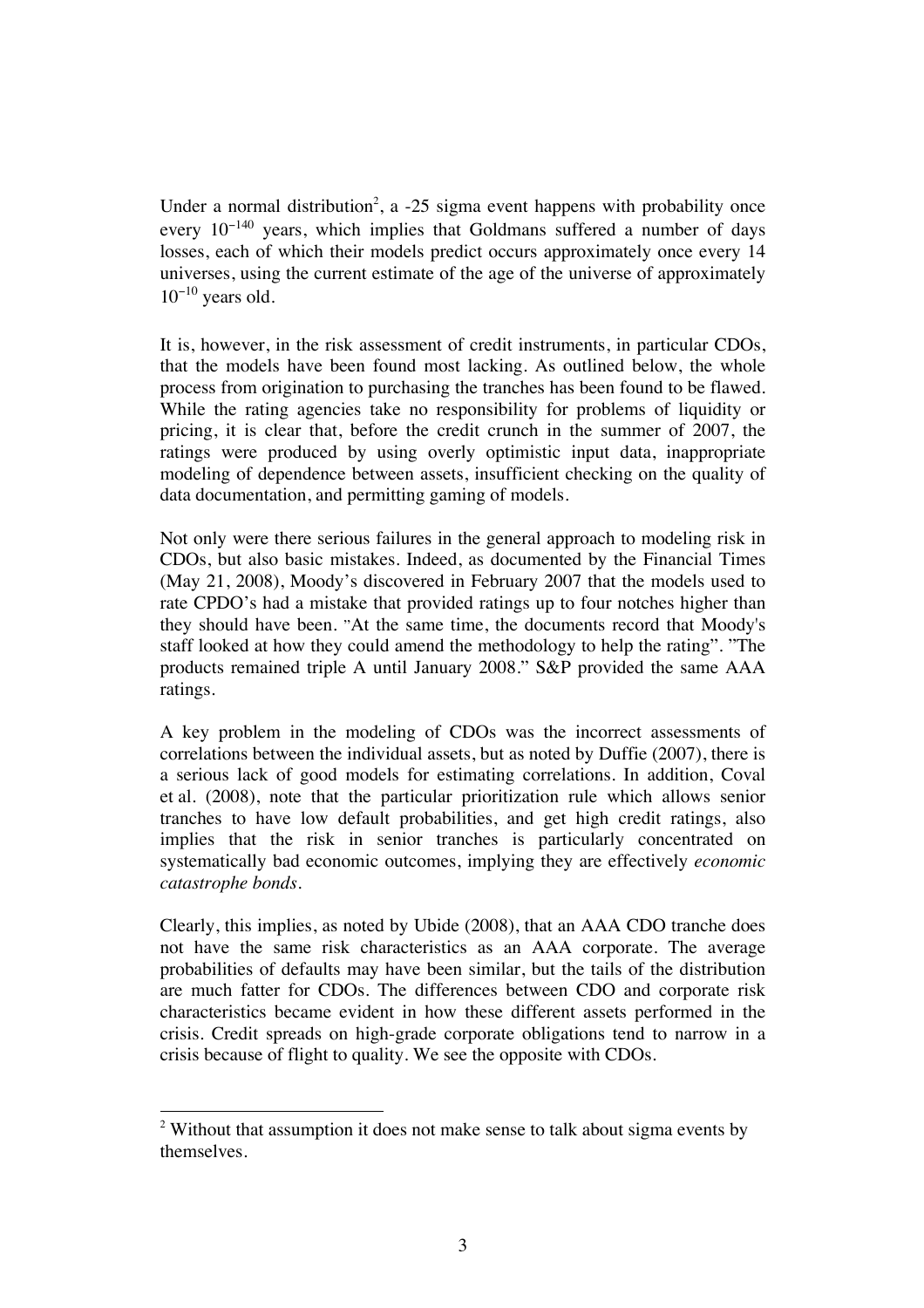Under a normal distribution<sup>2</sup>, a  $-25$  sigma event happens with probability once every  $10^{-140}$  years, which implies that Goldmans suffered a number of days losses, each of which their models predict occurs approximately once every 14 universes, using the current estimate of the age of the universe of approximately  $10^{-10}$  years old.

It is, however, in the risk assessment of credit instruments, in particular CDOs, that the models have been found most lacking. As outlined below, the whole process from origination to purchasing the tranches has been found to be flawed. While the rating agencies take no responsibility for problems of liquidity or pricing, it is clear that, before the credit crunch in the summer of 2007, the ratings were produced by using overly optimistic input data, inappropriate modeling of dependence between assets, insufficient checking on the quality of data documentation, and permitting gaming of models.

Not only were there serious failures in the general approach to modeling risk in CDOs, but also basic mistakes. Indeed, as documented by the Financial Times (May 21, 2008), Moody's discovered in February 2007 that the models used to rate CPDO's had a mistake that provided ratings up to four notches higher than they should have been. "At the same time, the documents record that Moody's staff looked at how they could amend the methodology to help the rating". "The products remained triple A until January 2008." S&P provided the same AAA ratings.

A key problem in the modeling of CDOs was the incorrect assessments of correlations between the individual assets, but as noted by Duffie (2007), there is a serious lack of good models for estimating correlations. In addition, Coval et al. (2008), note that the particular prioritization rule which allows senior tranches to have low default probabilities, and get high credit ratings, also implies that the risk in senior tranches is particularly concentrated on systematically bad economic outcomes, implying they are effectively *economic catastrophe bonds.*

Clearly, this implies, as noted by Ubide (2008), that an AAA CDO tranche does not have the same risk characteristics as an AAA corporate. The average probabilities of defaults may have been similar, but the tails of the distribution are much fatter for CDOs. The differences between CDO and corporate risk characteristics became evident in how these different assets performed in the crisis. Credit spreads on high-grade corporate obligations tend to narrow in a crisis because of flight to quality. We see the opposite with CDOs.

 $\frac{1}{2}$  $2$  Without that assumption it does not make sense to talk about sigma events by themselves.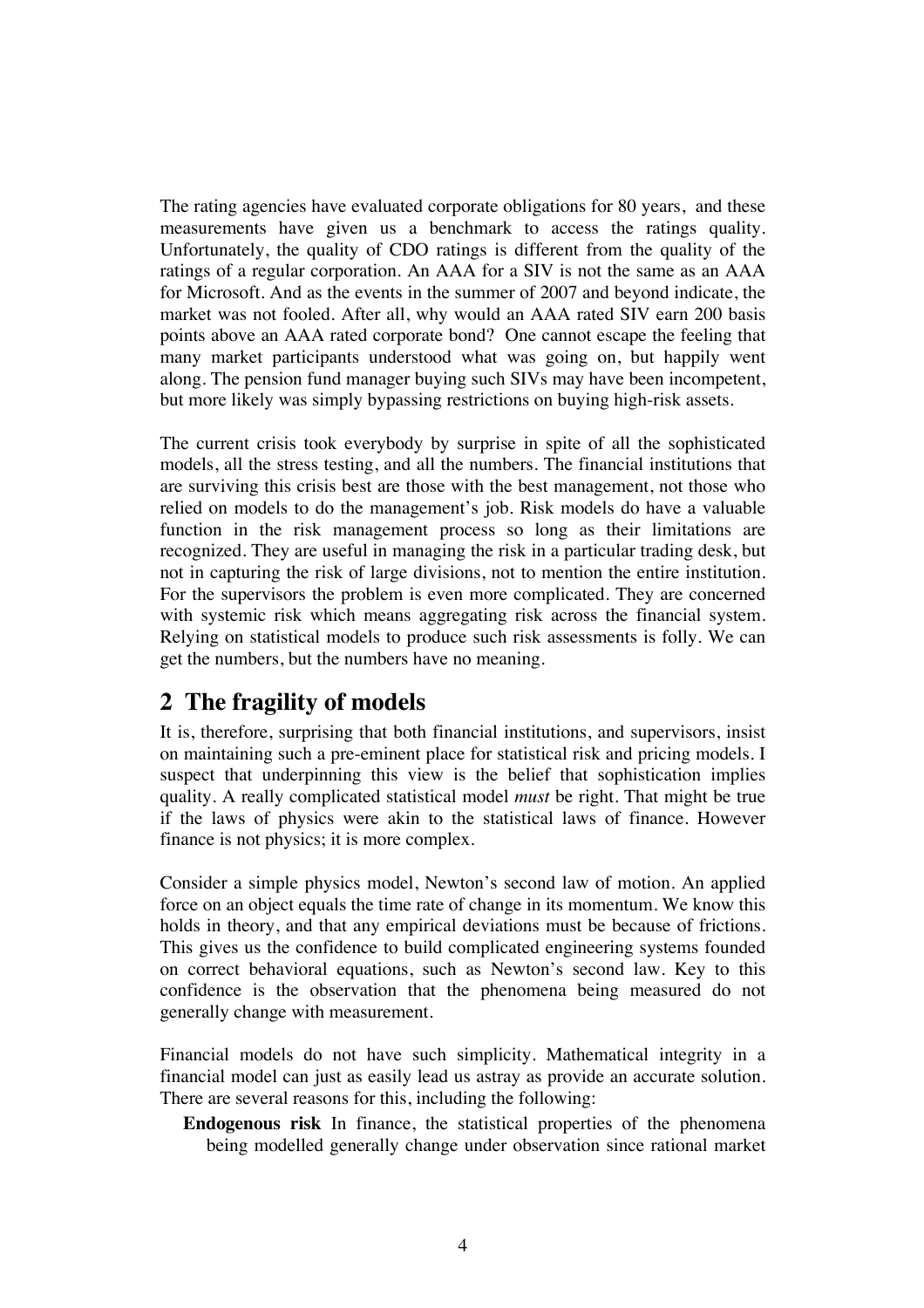The rating agencies have evaluated corporate obligations for 80 years, and these measurements have given us a benchmark to access the ratings quality. Unfortunately, the quality of CDO ratings is different from the quality of the ratings of a regular corporation. An AAA for a SIV is not the same as an AAA for Microsoft. And as the events in the summer of 2007 and beyond indicate, the market was not fooled. After all, why would an AAA rated SIV earn 200 basis points above an AAA rated corporate bond? One cannot escape the feeling that many market participants understood what was going on, but happily went along. The pension fund manager buying such SIVs may have been incompetent, but more likely was simply bypassing restrictions on buying high-risk assets.

The current crisis took everybody by surprise in spite of all the sophisticated models, all the stress testing, and all the numbers. The financial institutions that are surviving this crisis best are those with the best management, not those who relied on models to do the management's job. Risk models do have a valuable function in the risk management process so long as their limitations are recognized. They are useful in managing the risk in a particular trading desk, but not in capturing the risk of large divisions, not to mention the entire institution. For the supervisors the problem is even more complicated. They are concerned with systemic risk which means aggregating risk across the financial system. Relying on statistical models to produce such risk assessments is folly. We can get the numbers, but the numbers have no meaning.

# **2 The fragility of models**

It is, therefore, surprising that both financial institutions, and supervisors, insist on maintaining such a pre-eminent place for statistical risk and pricing models. I suspect that underpinning this view is the belief that sophistication implies quality. A really complicated statistical model *must* be right. That might be true if the laws of physics were akin to the statistical laws of finance. However finance is not physics; it is more complex.

Consider a simple physics model, Newton's second law of motion. An applied force on an object equals the time rate of change in its momentum. We know this holds in theory, and that any empirical deviations must be because of frictions. This gives us the confidence to build complicated engineering systems founded on correct behavioral equations, such as Newton's second law. Key to this confidence is the observation that the phenomena being measured do not generally change with measurement.

Financial models do not have such simplicity. Mathematical integrity in a financial model can just as easily lead us astray as provide an accurate solution. There are several reasons for this, including the following:

**Endogenous risk** In finance, the statistical properties of the phenomena being modelled generally change under observation since rational market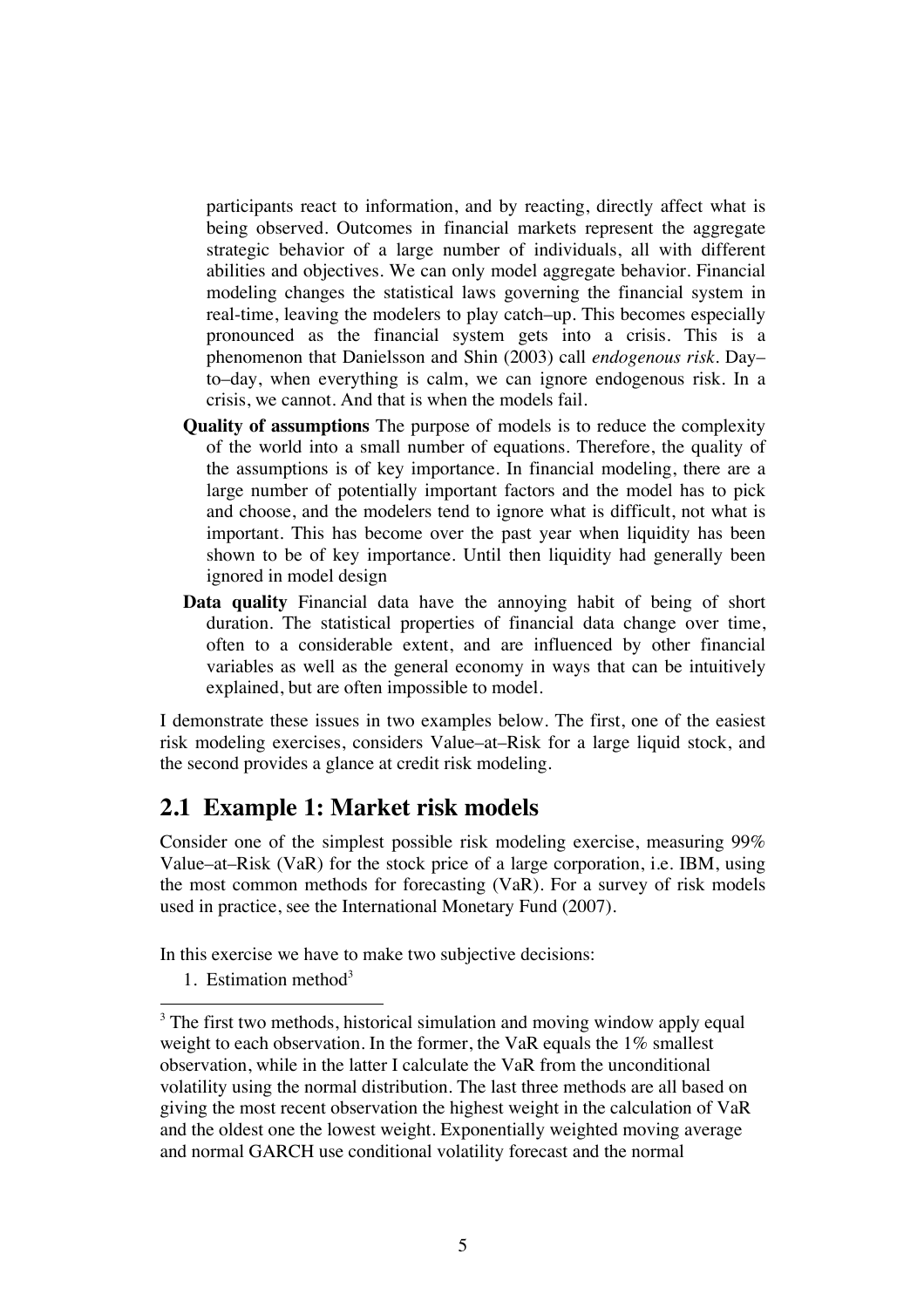participants react to information, and by reacting, directly affect what is being observed. Outcomes in financial markets represent the aggregate strategic behavior of a large number of individuals, all with different abilities and objectives. We can only model aggregate behavior. Financial modeling changes the statistical laws governing the financial system in real-time, leaving the modelers to play catch–up. This becomes especially pronounced as the financial system gets into a crisis. This is a phenomenon that Danielsson and Shin (2003) call *endogenous risk*. Day– to–day, when everything is calm, we can ignore endogenous risk. In a crisis, we cannot. And that is when the models fail.

- **Quality of assumptions** The purpose of models is to reduce the complexity of the world into a small number of equations. Therefore, the quality of the assumptions is of key importance. In financial modeling, there are a large number of potentially important factors and the model has to pick and choose, and the modelers tend to ignore what is difficult, not what is important. This has become over the past year when liquidity has been shown to be of key importance. Until then liquidity had generally been ignored in model design
- **Data quality** Financial data have the annoying habit of being of short duration. The statistical properties of financial data change over time, often to a considerable extent, and are influenced by other financial variables as well as the general economy in ways that can be intuitively explained, but are often impossible to model.

I demonstrate these issues in two examples below. The first, one of the easiest risk modeling exercises, considers Value–at–Risk for a large liquid stock, and the second provides a glance at credit risk modeling.

# **2.1 Example 1: Market risk models**

Consider one of the simplest possible risk modeling exercise, measuring 99% Value–at–Risk (VaR) for the stock price of a large corporation, i.e. IBM, using the most common methods for forecasting (VaR). For a survey of risk models used in practice, see the International Monetary Fund (2007)*.*

In this exercise we have to make two subjective decisions:

1. Estimation method $3$ 

 <sup>3</sup> <sup>3</sup> The first two methods, historical simulation and moving window apply equal weight to each observation. In the former, the VaR equals the 1% smallest observation, while in the latter I calculate the VaR from the unconditional volatility using the normal distribution. The last three methods are all based on giving the most recent observation the highest weight in the calculation of VaR and the oldest one the lowest weight. Exponentially weighted moving average and normal GARCH use conditional volatility forecast and the normal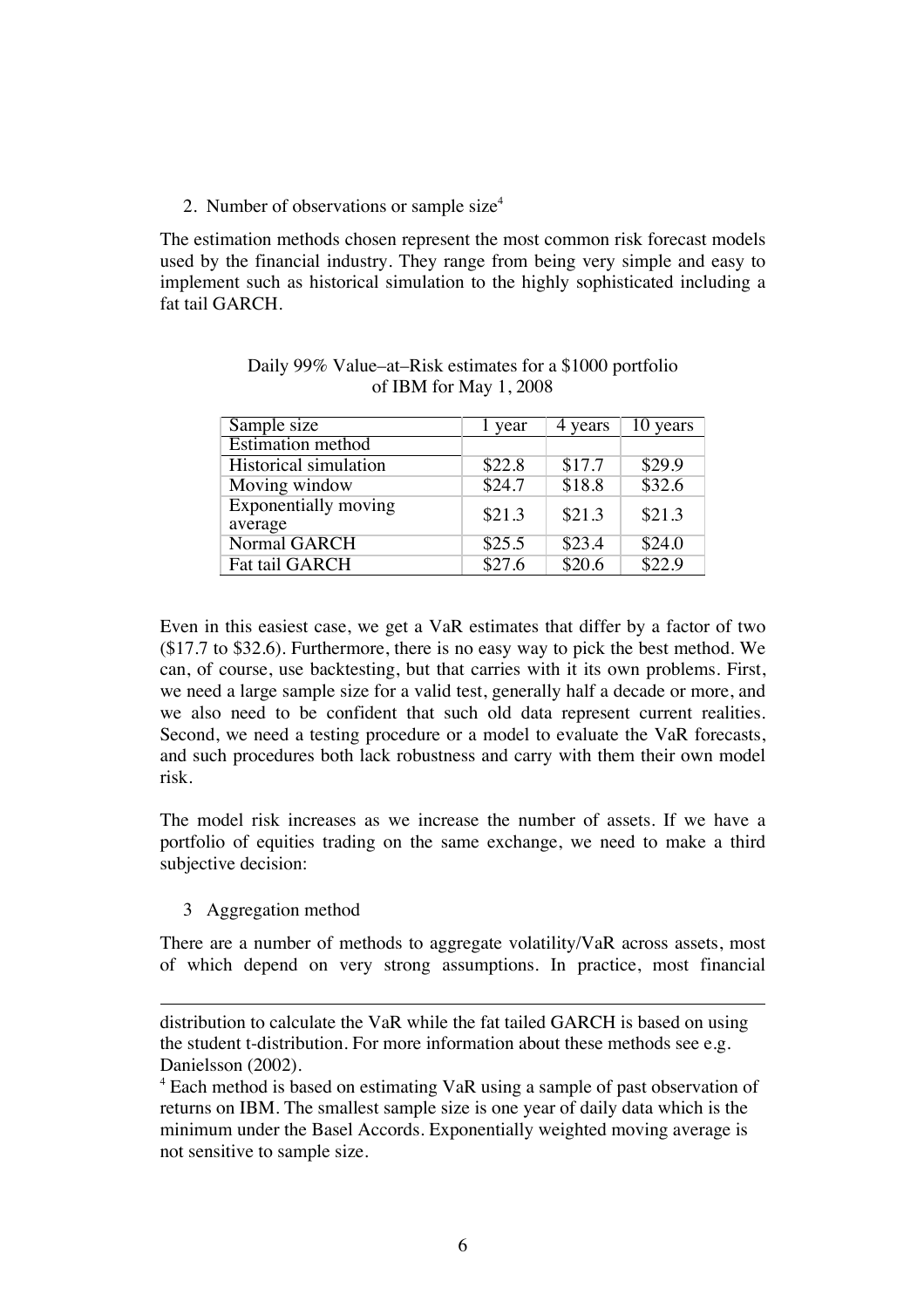2. Number of observations or sample size<sup>4</sup>

The estimation methods chosen represent the most common risk forecast models used by the financial industry. They range from being very simple and easy to implement such as historical simulation to the highly sophisticated including a fat tail GARCH.

| Sample size                            | 1 year | 4 years | 10 years |
|----------------------------------------|--------|---------|----------|
| <b>Estimation method</b>               |        |         |          |
| Historical simulation                  | \$22.8 | \$17.7  | \$29.9   |
| Moving window                          | \$24.7 | \$18.8  | \$32.6   |
| <b>Exponentially moving</b><br>average | \$21.3 | \$21.3  | \$21.3   |
| Normal GARCH                           | \$25.5 | \$23.4  | \$24.0   |
| <b>Fat tail GARCH</b>                  | \$27.6 | \$20.6  | \$22.9   |

| Daily 99% Value–at–Risk estimates for a \$1000 portfolio |
|----------------------------------------------------------|
| of IBM for May $1,2008$                                  |

Even in this easiest case, we get a VaR estimates that differ by a factor of two (\$17.7 to \$32.6). Furthermore, there is no easy way to pick the best method. We can, of course, use backtesting, but that carries with it its own problems. First, we need a large sample size for a valid test, generally half a decade or more, and we also need to be confident that such old data represent current realities. Second, we need a testing procedure or a model to evaluate the VaR forecasts, and such procedures both lack robustness and carry with them their own model risk.

The model risk increases as we increase the number of assets. If we have a portfolio of equities trading on the same exchange, we need to make a third subjective decision:

3 Aggregation method

-

There are a number of methods to aggregate volatility/VaR across assets, most of which depend on very strong assumptions. In practice, most financial

distribution to calculate the VaR while the fat tailed GARCH is based on using the student t-distribution. For more information about these methods see e.g. Danielsson (2002).

<sup>&</sup>lt;sup>4</sup> Each method is based on estimating VaR using a sample of past observation of returns on IBM. The smallest sample size is one year of daily data which is the minimum under the Basel Accords. Exponentially weighted moving average is not sensitive to sample size.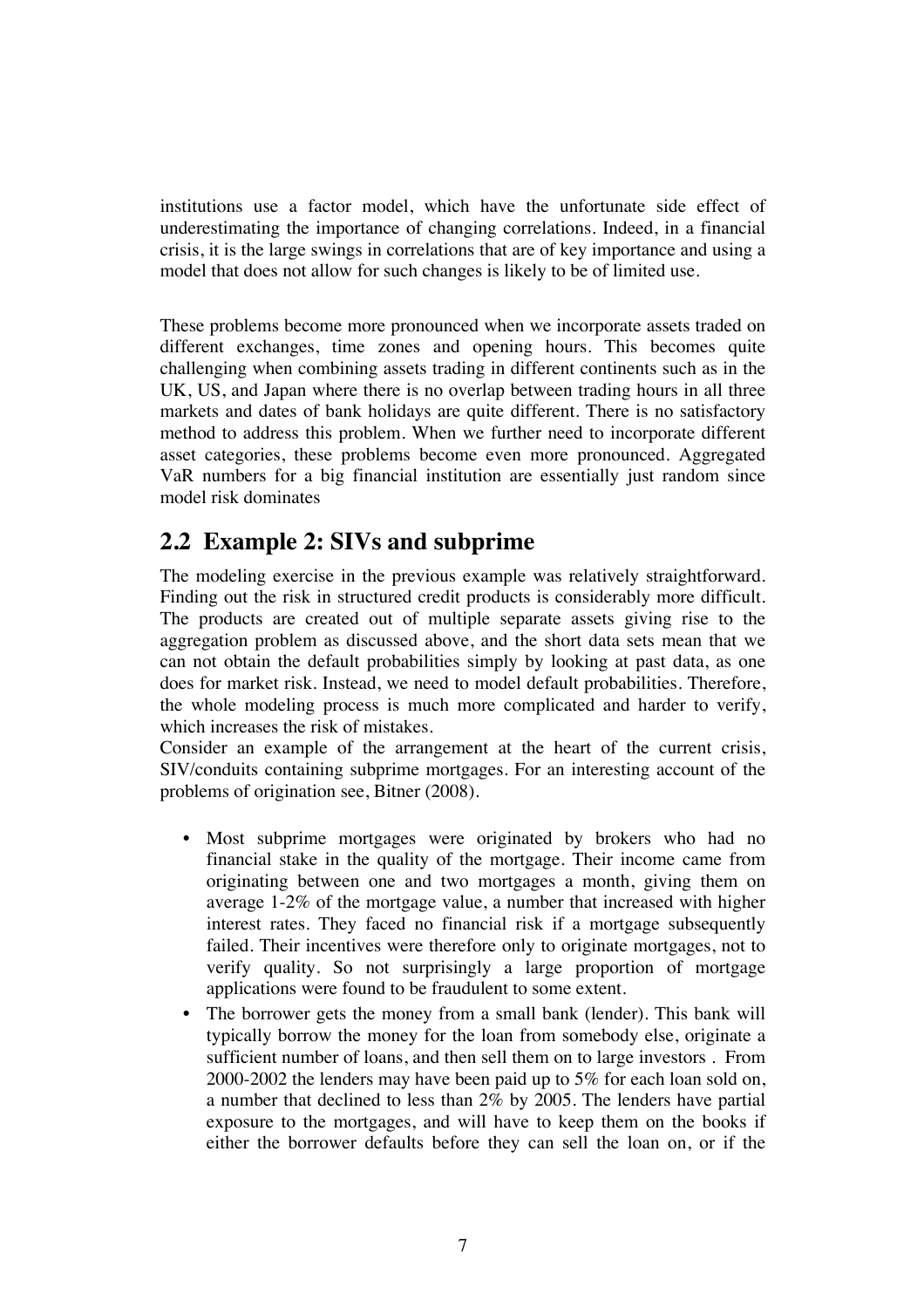institutions use a factor model, which have the unfortunate side effect of underestimating the importance of changing correlations. Indeed, in a financial crisis, it is the large swings in correlations that are of key importance and using a model that does not allow for such changes is likely to be of limited use.

These problems become more pronounced when we incorporate assets traded on different exchanges, time zones and opening hours. This becomes quite challenging when combining assets trading in different continents such as in the UK, US, and Japan where there is no overlap between trading hours in all three markets and dates of bank holidays are quite different. There is no satisfactory method to address this problem. When we further need to incorporate different asset categories, these problems become even more pronounced. Aggregated VaR numbers for a big financial institution are essentially just random since model risk dominates

# **2.2 Example 2: SIVs and subprime**

The modeling exercise in the previous example was relatively straightforward. Finding out the risk in structured credit products is considerably more difficult. The products are created out of multiple separate assets giving rise to the aggregation problem as discussed above, and the short data sets mean that we can not obtain the default probabilities simply by looking at past data, as one does for market risk. Instead, we need to model default probabilities. Therefore, the whole modeling process is much more complicated and harder to verify, which increases the risk of mistakes.

Consider an example of the arrangement at the heart of the current crisis, SIV/conduits containing subprime mortgages. For an interesting account of the problems of origination see, Bitner (2008).

- Most subprime mortgages were originated by brokers who had no financial stake in the quality of the mortgage. Their income came from originating between one and two mortgages a month, giving them on average 1-2% of the mortgage value, a number that increased with higher interest rates. They faced no financial risk if a mortgage subsequently failed. Their incentives were therefore only to originate mortgages, not to verify quality. So not surprisingly a large proportion of mortgage applications were found to be fraudulent to some extent.
- The borrower gets the money from a small bank (lender). This bank will typically borrow the money for the loan from somebody else, originate a sufficient number of loans, and then sell them on to large investors . From 2000-2002 the lenders may have been paid up to 5% for each loan sold on, a number that declined to less than 2% by 2005. The lenders have partial exposure to the mortgages, and will have to keep them on the books if either the borrower defaults before they can sell the loan on, or if the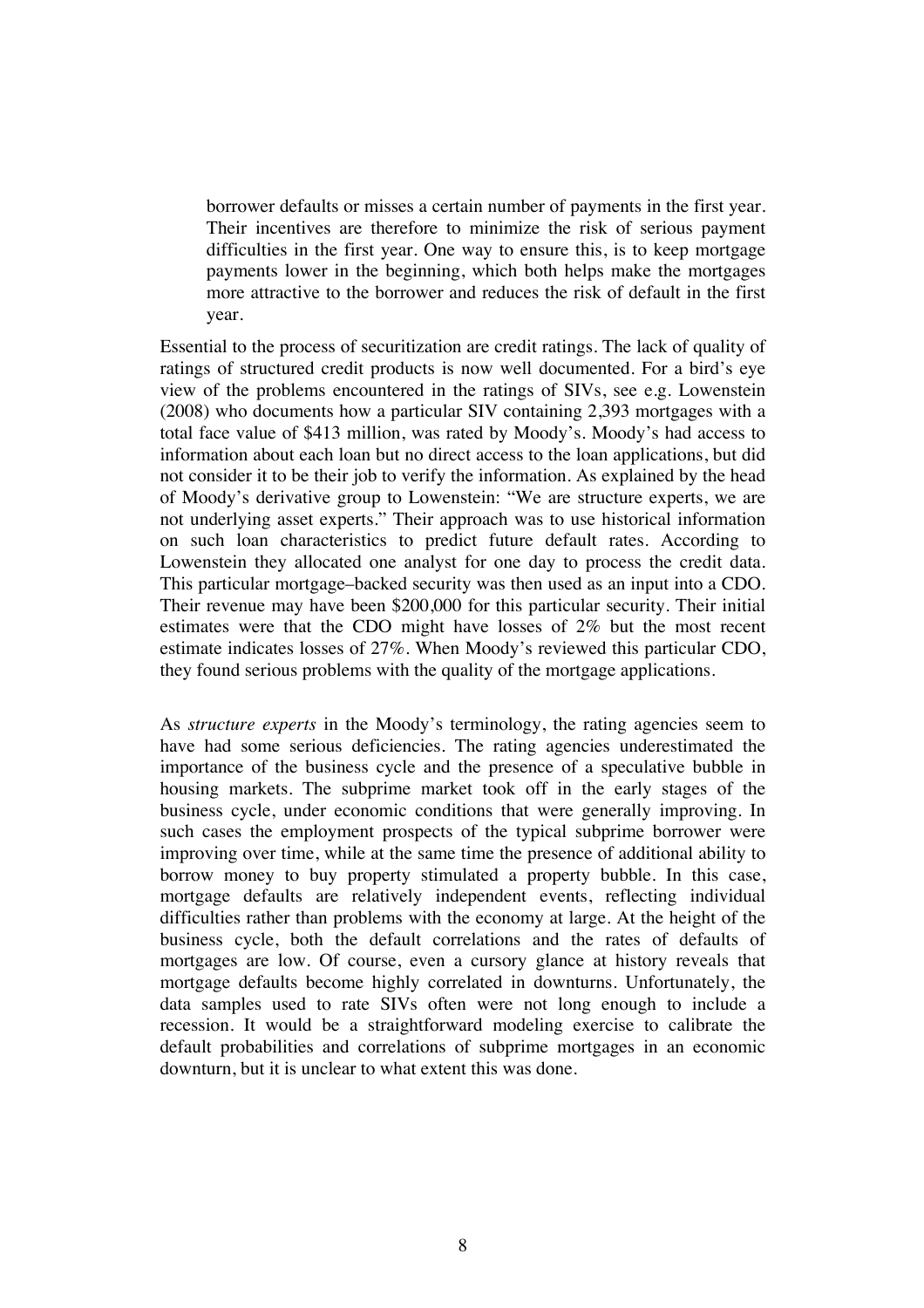borrower defaults or misses a certain number of payments in the first year. Their incentives are therefore to minimize the risk of serious payment difficulties in the first year. One way to ensure this, is to keep mortgage payments lower in the beginning, which both helps make the mortgages more attractive to the borrower and reduces the risk of default in the first year.

Essential to the process of securitization are credit ratings. The lack of quality of ratings of structured credit products is now well documented. For a bird's eye view of the problems encountered in the ratings of SIVs, see e.g. Lowenstein (2008) who documents how a particular SIV containing 2,393 mortgages with a total face value of \$413 million, was rated by Moody's. Moody's had access to information about each loan but no direct access to the loan applications, but did not consider it to be their job to verify the information. As explained by the head of Moody's derivative group to Lowenstein: "We are structure experts, we are not underlying asset experts." Their approach was to use historical information on such loan characteristics to predict future default rates. According to Lowenstein they allocated one analyst for one day to process the credit data. This particular mortgage–backed security was then used as an input into a CDO. Their revenue may have been \$200,000 for this particular security. Their initial estimates were that the CDO might have losses of 2% but the most recent estimate indicates losses of 27%. When Moody's reviewed this particular CDO, they found serious problems with the quality of the mortgage applications.

As *structure experts* in the Moody's terminology, the rating agencies seem to have had some serious deficiencies. The rating agencies underestimated the importance of the business cycle and the presence of a speculative bubble in housing markets. The subprime market took off in the early stages of the business cycle, under economic conditions that were generally improving. In such cases the employment prospects of the typical subprime borrower were improving over time, while at the same time the presence of additional ability to borrow money to buy property stimulated a property bubble. In this case, mortgage defaults are relatively independent events, reflecting individual difficulties rather than problems with the economy at large. At the height of the business cycle, both the default correlations and the rates of defaults of mortgages are low. Of course, even a cursory glance at history reveals that mortgage defaults become highly correlated in downturns. Unfortunately, the data samples used to rate SIVs often were not long enough to include a recession. It would be a straightforward modeling exercise to calibrate the default probabilities and correlations of subprime mortgages in an economic downturn, but it is unclear to what extent this was done.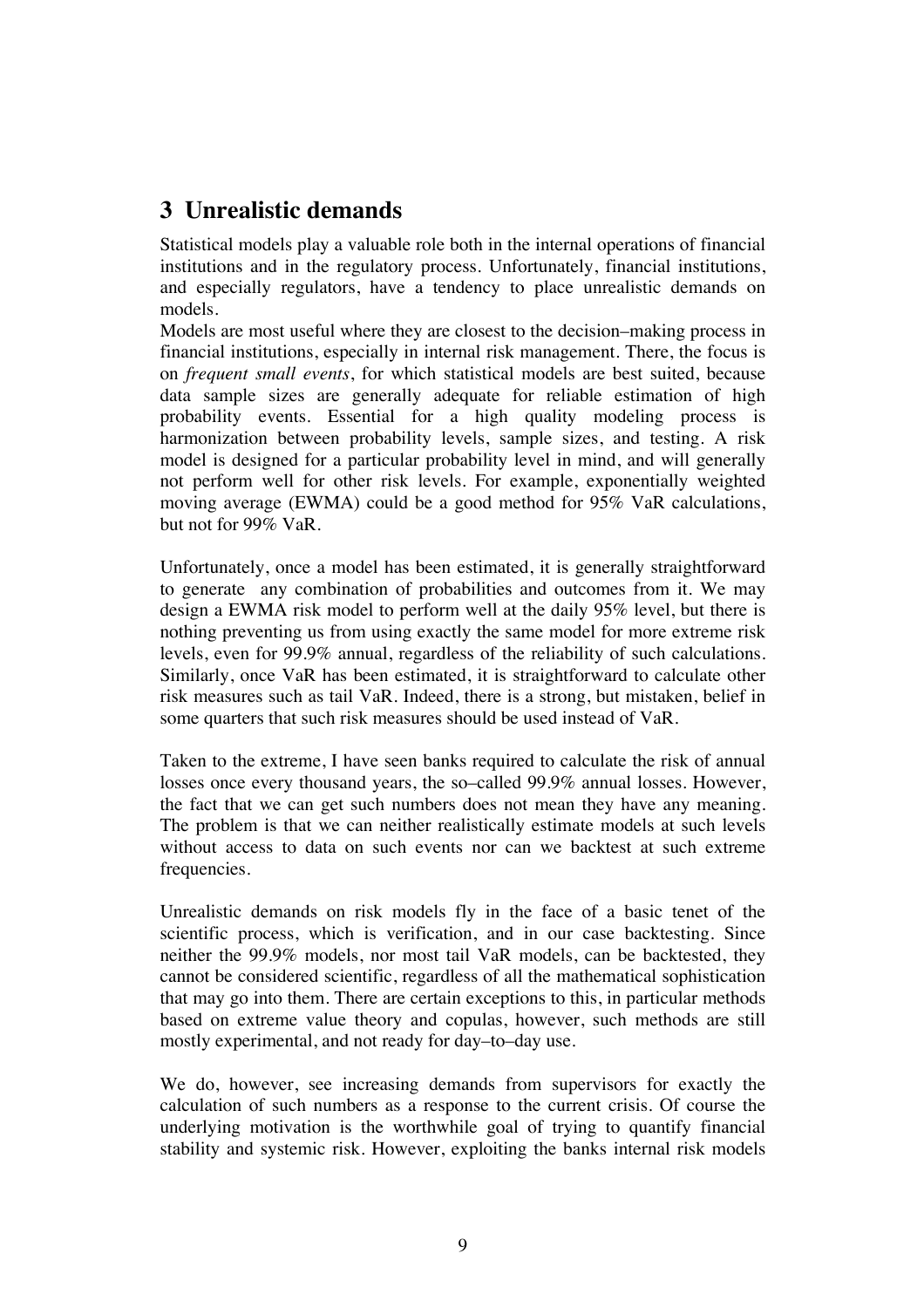# **3 Unrealistic demands**

Statistical models play a valuable role both in the internal operations of financial institutions and in the regulatory process. Unfortunately, financial institutions, and especially regulators, have a tendency to place unrealistic demands on models.

Models are most useful where they are closest to the decision–making process in financial institutions, especially in internal risk management. There, the focus is on *frequent small events*, for which statistical models are best suited, because data sample sizes are generally adequate for reliable estimation of high probability events. Essential for a high quality modeling process is harmonization between probability levels, sample sizes, and testing. A risk model is designed for a particular probability level in mind, and will generally not perform well for other risk levels. For example, exponentially weighted moving average (EWMA) could be a good method for 95% VaR calculations, but not for 99% VaR.

Unfortunately, once a model has been estimated, it is generally straightforward to generate any combination of probabilities and outcomes from it. We may design a EWMA risk model to perform well at the daily 95% level, but there is nothing preventing us from using exactly the same model for more extreme risk levels, even for 99.9% annual, regardless of the reliability of such calculations. Similarly, once VaR has been estimated, it is straightforward to calculate other risk measures such as tail VaR. Indeed, there is a strong, but mistaken, belief in some quarters that such risk measures should be used instead of VaR.

Taken to the extreme, I have seen banks required to calculate the risk of annual losses once every thousand years, the so–called 99.9% annual losses. However, the fact that we can get such numbers does not mean they have any meaning. The problem is that we can neither realistically estimate models at such levels without access to data on such events nor can we backtest at such extreme frequencies.

Unrealistic demands on risk models fly in the face of a basic tenet of the scientific process, which is verification, and in our case backtesting. Since neither the 99.9% models, nor most tail VaR models, can be backtested, they cannot be considered scientific, regardless of all the mathematical sophistication that may go into them. There are certain exceptions to this, in particular methods based on extreme value theory and copulas, however, such methods are still mostly experimental, and not ready for day–to–day use.

We do, however, see increasing demands from supervisors for exactly the calculation of such numbers as a response to the current crisis. Of course the underlying motivation is the worthwhile goal of trying to quantify financial stability and systemic risk. However, exploiting the banks internal risk models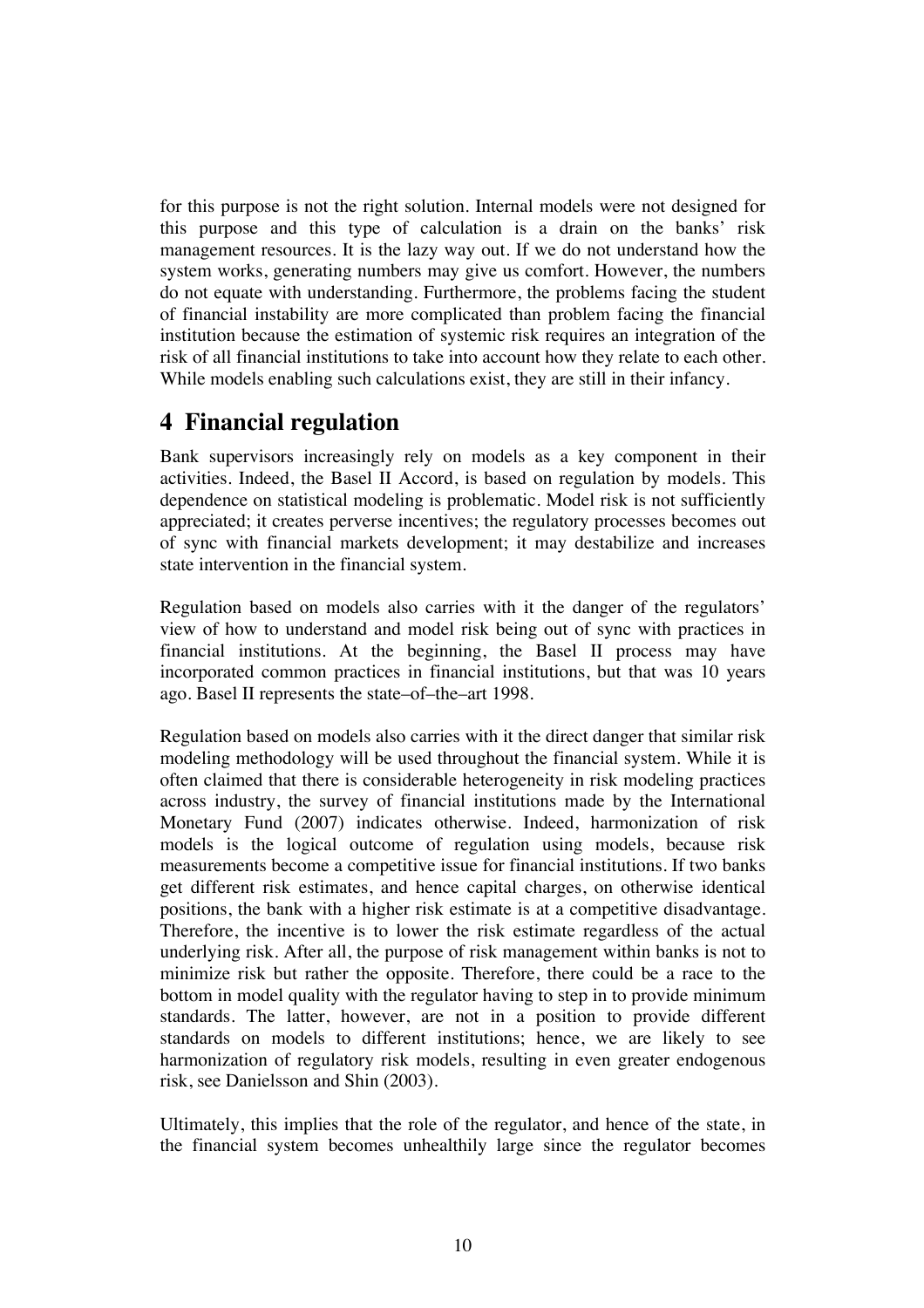for this purpose is not the right solution. Internal models were not designed for this purpose and this type of calculation is a drain on the banks' risk management resources. It is the lazy way out. If we do not understand how the system works, generating numbers may give us comfort. However, the numbers do not equate with understanding. Furthermore, the problems facing the student of financial instability are more complicated than problem facing the financial institution because the estimation of systemic risk requires an integration of the risk of all financial institutions to take into account how they relate to each other. While models enabling such calculations exist, they are still in their infancy.

# **4 Financial regulation**

Bank supervisors increasingly rely on models as a key component in their activities. Indeed, the Basel II Accord, is based on regulation by models. This dependence on statistical modeling is problematic. Model risk is not sufficiently appreciated; it creates perverse incentives; the regulatory processes becomes out of sync with financial markets development; it may destabilize and increases state intervention in the financial system.

Regulation based on models also carries with it the danger of the regulators' view of how to understand and model risk being out of sync with practices in financial institutions. At the beginning, the Basel II process may have incorporated common practices in financial institutions, but that was 10 years ago. Basel II represents the state–of–the–art 1998*.*

Regulation based on models also carries with it the direct danger that similar risk modeling methodology will be used throughout the financial system. While it is often claimed that there is considerable heterogeneity in risk modeling practices across industry, the survey of financial institutions made by the International Monetary Fund (2007) indicates otherwise. Indeed, harmonization of risk models is the logical outcome of regulation using models, because risk measurements become a competitive issue for financial institutions. If two banks get different risk estimates, and hence capital charges, on otherwise identical positions, the bank with a higher risk estimate is at a competitive disadvantage. Therefore, the incentive is to lower the risk estimate regardless of the actual underlying risk. After all, the purpose of risk management within banks is not to minimize risk but rather the opposite. Therefore, there could be a race to the bottom in model quality with the regulator having to step in to provide minimum standards. The latter, however, are not in a position to provide different standards on models to different institutions; hence, we are likely to see harmonization of regulatory risk models, resulting in even greater endogenous risk, see Danielsson and Shin (2003).

Ultimately, this implies that the role of the regulator, and hence of the state, in the financial system becomes unhealthily large since the regulator becomes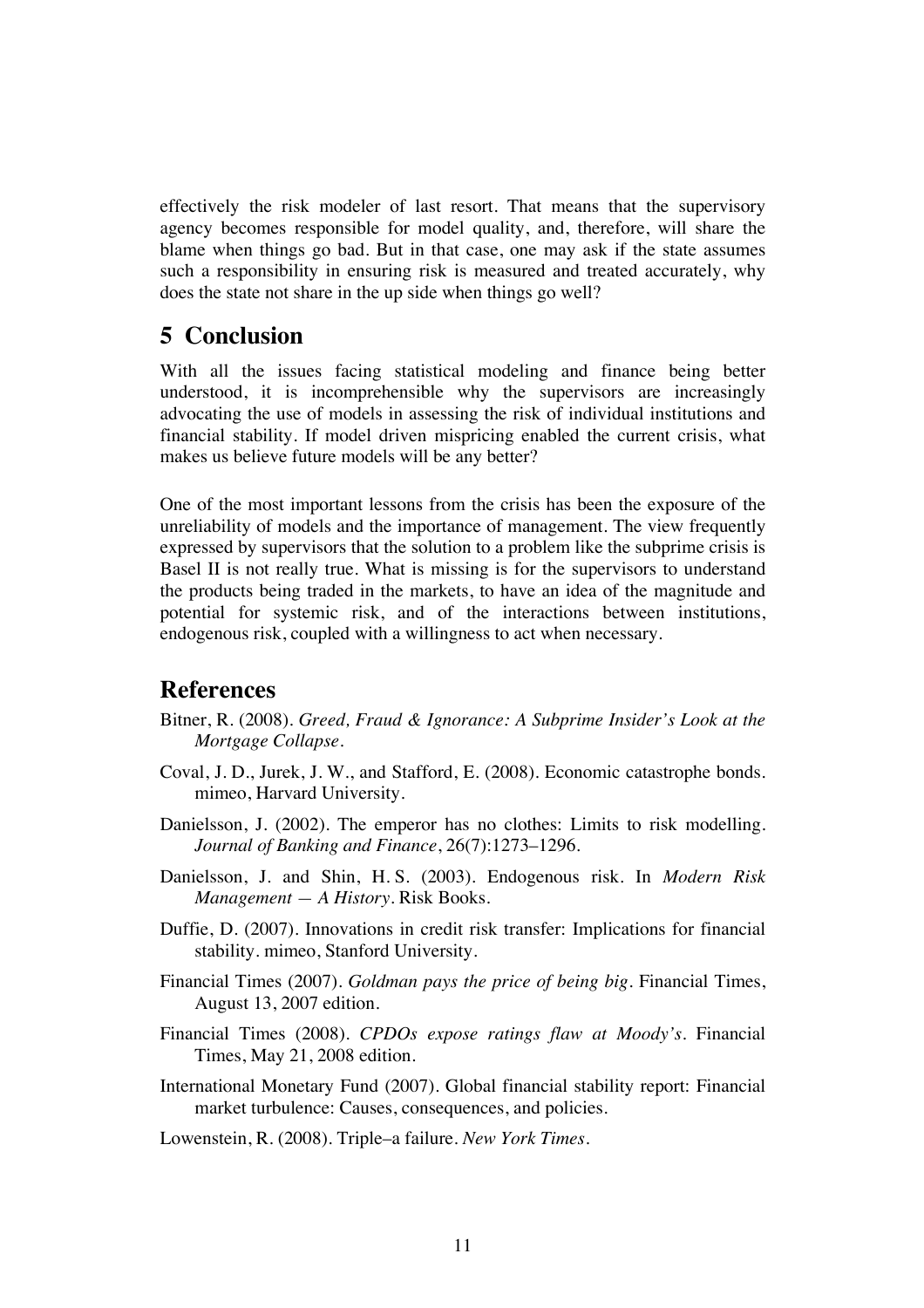effectively the risk modeler of last resort. That means that the supervisory agency becomes responsible for model quality, and, therefore, will share the blame when things go bad. But in that case, one may ask if the state assumes such a responsibility in ensuring risk is measured and treated accurately, why does the state not share in the up side when things go well?

# **5 Conclusion**

With all the issues facing statistical modeling and finance being better understood, it is incomprehensible why the supervisors are increasingly advocating the use of models in assessing the risk of individual institutions and financial stability. If model driven mispricing enabled the current crisis, what makes us believe future models will be any better?

One of the most important lessons from the crisis has been the exposure of the unreliability of models and the importance of management. The view frequently expressed by supervisors that the solution to a problem like the subprime crisis is Basel II is not really true. What is missing is for the supervisors to understand the products being traded in the markets, to have an idea of the magnitude and potential for systemic risk, and of the interactions between institutions, endogenous risk, coupled with a willingness to act when necessary.

# **References**

- Bitner, R. (2008). *Greed, Fraud & Ignorance: A Subprime Insider's Look at the Mortgage Collapse*.
- Coval, J. D., Jurek, J. W., and Stafford, E. (2008). Economic catastrophe bonds. mimeo, Harvard University.
- Danielsson, J. (2002). The emperor has no clothes: Limits to risk modelling. *Journal of Banking and Finance*, 26(7):1273–1296.
- Danielsson, J. and Shin, H. S. (2003). Endogenous risk. In *Modern Risk Management — A History*. Risk Books.
- Duffie, D. (2007). Innovations in credit risk transfer: Implications for financial stability. mimeo, Stanford University.
- Financial Times (2007). *Goldman pays the price of being big*. Financial Times, August 13, 2007 edition.
- Financial Times (2008). *CPDOs expose ratings flaw at Moody's*. Financial Times, May 21, 2008 edition.
- International Monetary Fund (2007). Global financial stability report: Financial market turbulence: Causes, consequences, and policies.

Lowenstein, R. (2008). Triple–a failure. *New York Times*.